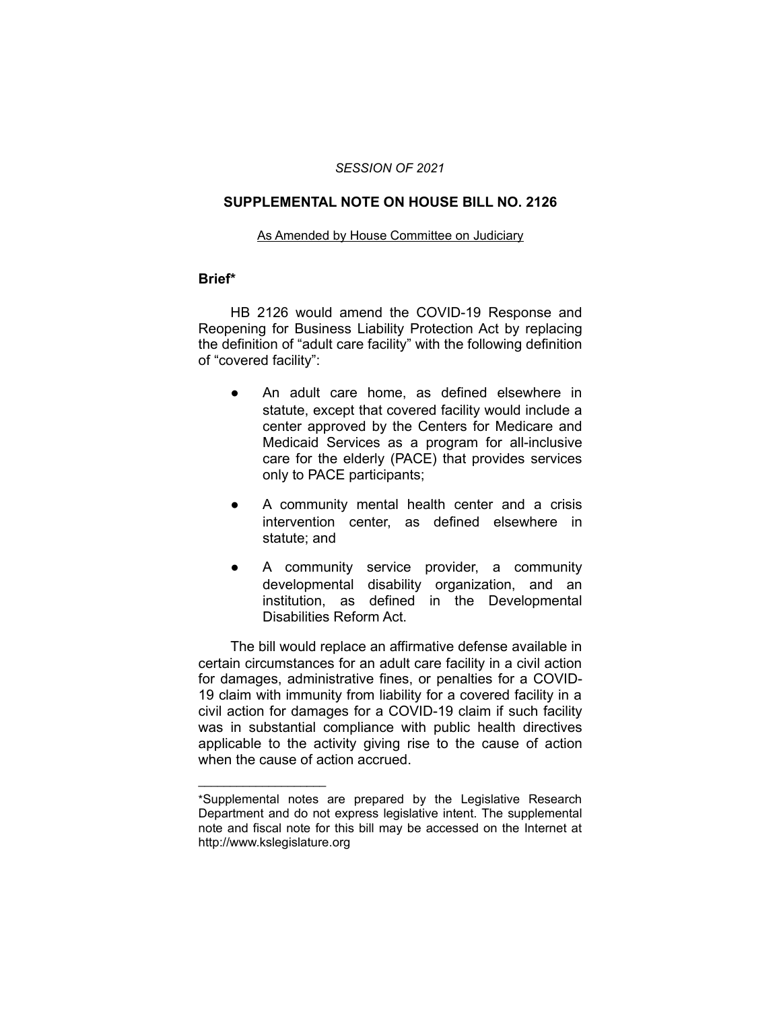### *SESSION OF 2021*

### **SUPPLEMENTAL NOTE ON HOUSE BILL NO. 2126**

### As Amended by House Committee on Judiciary

### **Brief\***

HB 2126 would amend the COVID-19 Response and Reopening for Business Liability Protection Act by replacing the definition of "adult care facility" with the following definition of "covered facility":

- An adult care home, as defined elsewhere in statute, except that covered facility would include a center approved by the Centers for Medicare and Medicaid Services as a program for all-inclusive care for the elderly (PACE) that provides services only to PACE participants;
- A community mental health center and a crisis intervention center, as defined elsewhere in statute; and
- A community service provider, a community developmental disability organization, and an institution, as defined in the Developmental Disabilities Reform Act.

The bill would replace an affirmative defense available in certain circumstances for an adult care facility in a civil action for damages, administrative fines, or penalties for a COVID-19 claim with immunity from liability for a covered facility in a civil action for damages for a COVID-19 claim if such facility was in substantial compliance with public health directives applicable to the activity giving rise to the cause of action when the cause of action accrued.

 $\overline{\phantom{a}}$  , where  $\overline{\phantom{a}}$  , where  $\overline{\phantom{a}}$ 

<sup>\*</sup>Supplemental notes are prepared by the Legislative Research Department and do not express legislative intent. The supplemental note and fiscal note for this bill may be accessed on the Internet at http://www.kslegislature.org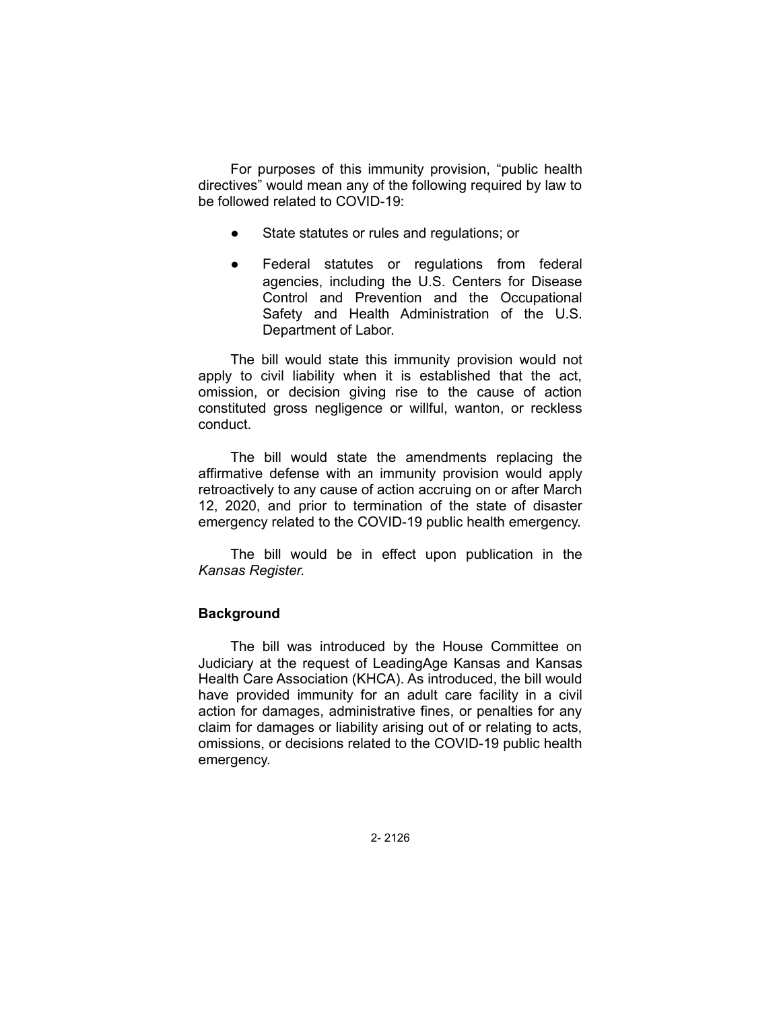For purposes of this immunity provision, "public health directives" would mean any of the following required by law to be followed related to COVID-19:

- State statutes or rules and regulations; or
- Federal statutes or regulations from federal agencies, including the U.S. Centers for Disease Control and Prevention and the Occupational Safety and Health Administration of the U.S. Department of Labor.

The bill would state this immunity provision would not apply to civil liability when it is established that the act, omission, or decision giving rise to the cause of action constituted gross negligence or willful, wanton, or reckless conduct.

The bill would state the amendments replacing the affirmative defense with an immunity provision would apply retroactively to any cause of action accruing on or after March 12, 2020, and prior to termination of the state of disaster emergency related to the COVID-19 public health emergency.

The bill would be in effect upon publication in the *Kansas Register.*

# **Background**

The bill was introduced by the House Committee on Judiciary at the request of LeadingAge Kansas and Kansas Health Care Association (KHCA). As introduced, the bill would have provided immunity for an adult care facility in a civil action for damages, administrative fines, or penalties for any claim for damages or liability arising out of or relating to acts, omissions, or decisions related to the COVID-19 public health emergency.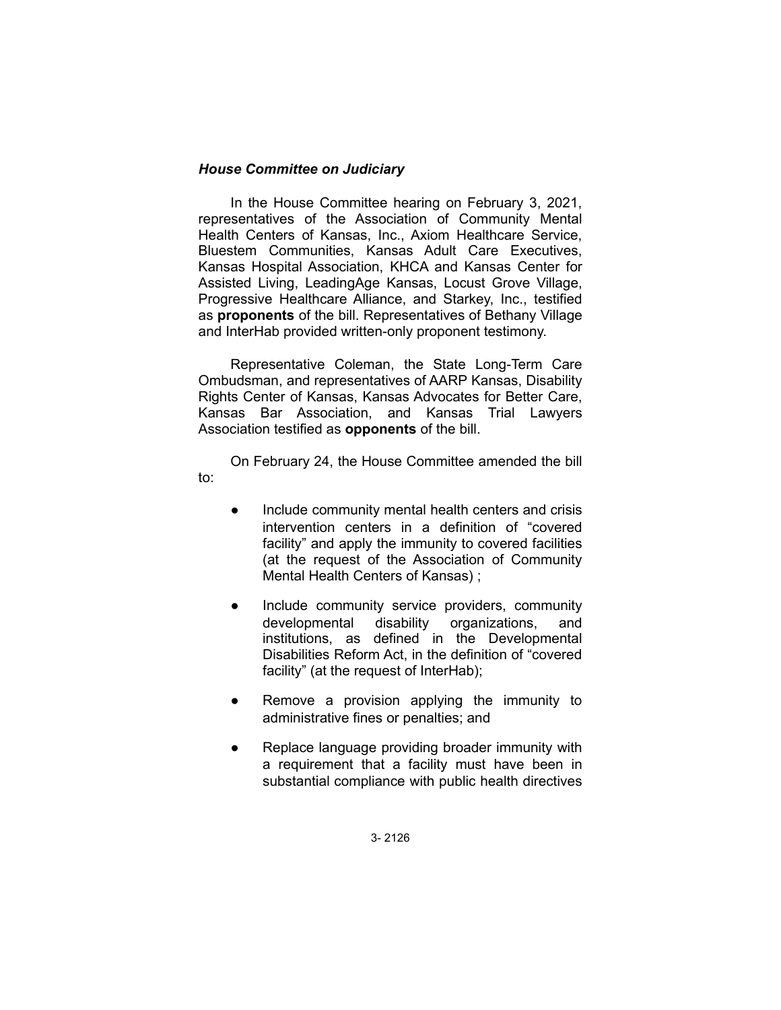# *House Committee on Judiciary*

In the House Committee hearing on February 3, 2021, representatives of the Association of Community Mental Health Centers of Kansas, Inc., Axiom Healthcare Service, Bluestem Communities, Kansas Adult Care Executives, Kansas Hospital Association, KHCA and Kansas Center for Assisted Living, LeadingAge Kansas, Locust Grove Village, Progressive Healthcare Alliance, and Starkey, Inc., testified as **proponents** of the bill. Representatives of Bethany Village and InterHab provided written-only proponent testimony.

Representative Coleman, the State Long-Term Care Ombudsman, and representatives of AARP Kansas, Disability Rights Center of Kansas, Kansas Advocates for Better Care, Kansas Bar Association, and Kansas Trial Lawyers Association testified as **opponents** of the bill.

On February 24, the House Committee amended the bill to:

- Include community mental health centers and crisis intervention centers in a definition of "covered facility" and apply the immunity to covered facilities (at the request of the Association of Community Mental Health Centers of Kansas) ;
- Include community service providers, community developmental disability organizations, and institutions, as defined in the Developmental Disabilities Reform Act, in the definition of "covered facility" (at the request of InterHab);
- Remove a provision applying the immunity to administrative fines or penalties; and
- Replace language providing broader immunity with a requirement that a facility must have been in substantial compliance with public health directives